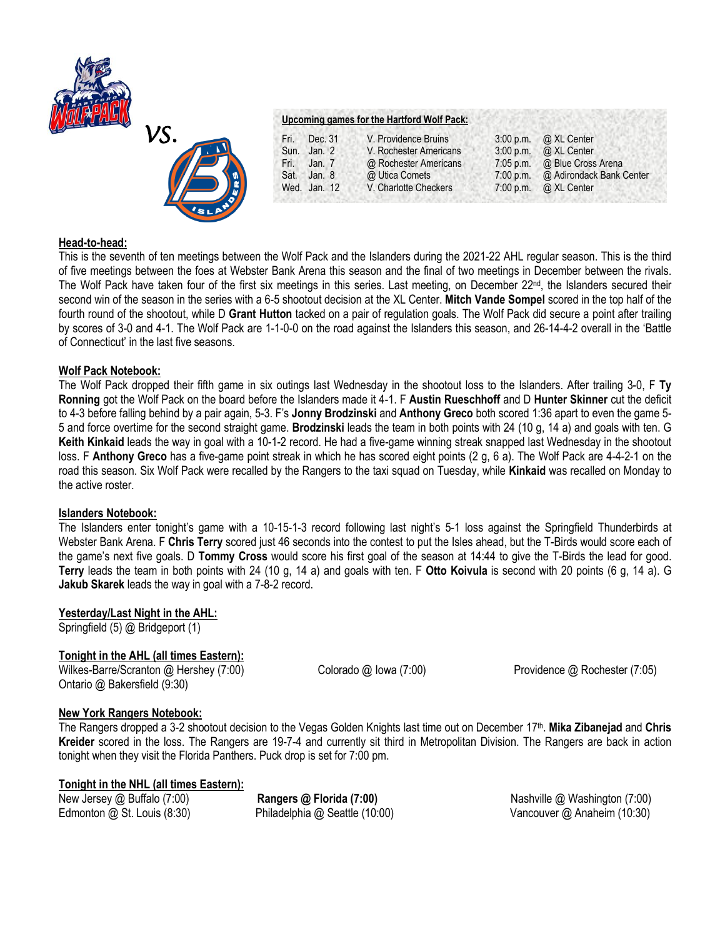



# **Upcoming games for the Hartford Wolf Pack:**

| Fri. | Dec. 31      | V. Providence Bruins   | $3:00$ p.m. $\omega$ XL Center     |
|------|--------------|------------------------|------------------------------------|
|      | Sun. Jan. 2  | V. Rochester Americans | 3:00 p.m. @ XL Center              |
|      | Fri. Jan. 7  | @ Rochester Americans  | 7:05 p.m. @ Blue Cross Arena       |
| Sat. | Jan. 8       | @ Utica Comets         | 7:00 p.m. @ Adirondack Bank Center |
|      | Wed. Jan. 12 | V. Charlotte Checkers  | $7:00$ p.m. $\omega$ XL Center     |

### **Head-to-head:**

This is the seventh of ten meetings between the Wolf Pack and the Islanders during the 2021-22 AHL regular season. This is the third of five meetings between the foes at Webster Bank Arena this season and the final of two meetings in December between the rivals. The Wolf Pack have taken four of the first six meetings in this series. Last meeting, on December 22nd, the Islanders secured their second win of the season in the series with a 6-5 shootout decision at the XL Center. **Mitch Vande Sompel** scored in the top half of the fourth round of the shootout, while D **Grant Hutton** tacked on a pair of regulation goals. The Wolf Pack did secure a point after trailing by scores of 3-0 and 4-1. The Wolf Pack are 1-1-0-0 on the road against the Islanders this season, and 26-14-4-2 overall in the 'Battle of Connecticut' in the last five seasons.

### **Wolf Pack Notebook:**

The Wolf Pack dropped their fifth game in six outings last Wednesday in the shootout loss to the Islanders. After trailing 3-0, F **Ty Ronning** got the Wolf Pack on the board before the Islanders made it 4-1. F **Austin Rueschhoff** and D **Hunter Skinner** cut the deficit to 4-3 before falling behind by a pair again, 5-3. F's **Jonny Brodzinski** and **Anthony Greco** both scored 1:36 apart to even the game 5- 5 and force overtime for the second straight game. **Brodzinski** leads the team in both points with 24 (10 g, 14 a) and goals with ten. G **Keith Kinkaid** leads the way in goal with a 10-1-2 record. He had a five-game winning streak snapped last Wednesday in the shootout loss. F **Anthony Greco** has a five-game point streak in which he has scored eight points (2 g, 6 a). The Wolf Pack are 4-4-2-1 on the road this season. Six Wolf Pack were recalled by the Rangers to the taxi squad on Tuesday, while **Kinkaid** was recalled on Monday to the active roster.

### **Islanders Notebook:**

The Islanders enter tonight's game with a 10-15-1-3 record following last night's 5-1 loss against the Springfield Thunderbirds at Webster Bank Arena. F **Chris Terry** scored just 46 seconds into the contest to put the Isles ahead, but the T-Birds would score each of the game's next five goals. D **Tommy Cross** would score his first goal of the season at 14:44 to give the T-Birds the lead for good. **Terry** leads the team in both points with 24 (10 g, 14 a) and goals with ten. F **Otto Koivula** is second with 20 points (6 g, 14 a). G **Jakub Skarek** leads the way in goal with a 7-8-2 record.

## **Yesterday/Last Night in the AHL:**

Springfield (5) @ Bridgeport (1)

## **Tonight in the AHL (all times Eastern):**

Wilkes-Barre/Scranton @ Hershey (7:00) Colorado @ Iowa (7:00) Providence @ Rochester (7:05) Ontario @ Bakersfield (9:30)

## **New York Rangers Notebook:**

The Rangers dropped a 3-2 shootout decision to the Vegas Golden Knights last time out on December 17<sup>th</sup>. **Mika Zibanejad** and Chris **Kreider** scored in the loss. The Rangers are 19-7-4 and currently sit third in Metropolitan Division. The Rangers are back in action tonight when they visit the Florida Panthers. Puck drop is set for 7:00 pm.

### **Tonight in the NHL (all times Eastern):**

New Jersey @ Buffalo (7:00) **Rangers @ Florida (7:00)** Nashville @ Washington (7:00) Edmonton @ St. Louis (8:30) Philadelphia @ Seattle (10:00) Vancouver @ Anaheim (10:30)